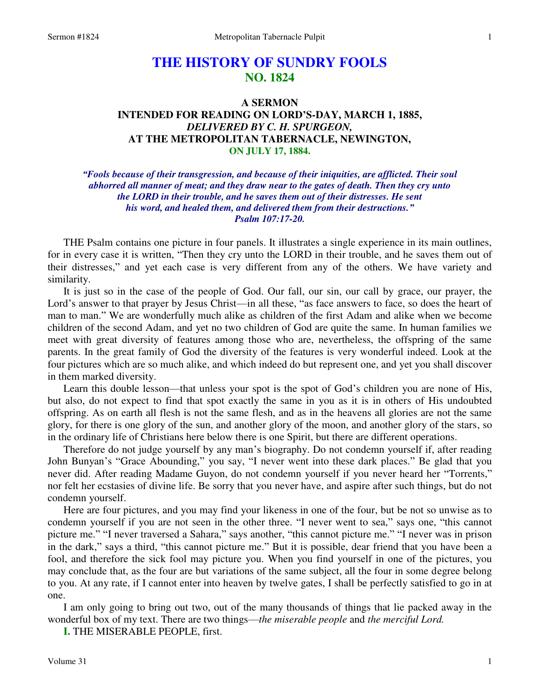# **THE HISTORY OF SUNDRY FOOLS NO. 1824**

## **A SERMON INTENDED FOR READING ON LORD'S-DAY, MARCH 1, 1885,**  *DELIVERED BY C. H. SPURGEON,*  **AT THE METROPOLITAN TABERNACLE, NEWINGTON, ON JULY 17, 1884.**

### *"Fools because of their transgression, and because of their iniquities, are afflicted. Their soul abhorred all manner of meat; and they draw near to the gates of death. Then they cry unto the LORD in their trouble, and he saves them out of their distresses. He sent his word, and healed them, and delivered them from their destructions." Psalm 107:17-20.*

THE Psalm contains one picture in four panels. It illustrates a single experience in its main outlines, for in every case it is written, "Then they cry unto the LORD in their trouble, and he saves them out of their distresses," and yet each case is very different from any of the others. We have variety and similarity.

 It is just so in the case of the people of God. Our fall, our sin, our call by grace, our prayer, the Lord's answer to that prayer by Jesus Christ—in all these, "as face answers to face, so does the heart of man to man." We are wonderfully much alike as children of the first Adam and alike when we become children of the second Adam, and yet no two children of God are quite the same. In human families we meet with great diversity of features among those who are, nevertheless, the offspring of the same parents. In the great family of God the diversity of the features is very wonderful indeed. Look at the four pictures which are so much alike, and which indeed do but represent one, and yet you shall discover in them marked diversity.

 Learn this double lesson—that unless your spot is the spot of God's children you are none of His, but also, do not expect to find that spot exactly the same in you as it is in others of His undoubted offspring. As on earth all flesh is not the same flesh, and as in the heavens all glories are not the same glory, for there is one glory of the sun, and another glory of the moon, and another glory of the stars, so in the ordinary life of Christians here below there is one Spirit, but there are different operations.

 Therefore do not judge yourself by any man's biography. Do not condemn yourself if, after reading John Bunyan's "Grace Abounding," you say, "I never went into these dark places." Be glad that you never did. After reading Madame Guyon, do not condemn yourself if you never heard her "Torrents," nor felt her ecstasies of divine life. Be sorry that you never have, and aspire after such things, but do not condemn yourself.

 Here are four pictures, and you may find your likeness in one of the four, but be not so unwise as to condemn yourself if you are not seen in the other three. "I never went to sea," says one, "this cannot picture me." "I never traversed a Sahara," says another, "this cannot picture me." "I never was in prison in the dark," says a third, "this cannot picture me." But it is possible, dear friend that you have been a fool, and therefore the sick fool may picture you. When you find yourself in one of the pictures, you may conclude that, as the four are but variations of the same subject, all the four in some degree belong to you. At any rate, if I cannot enter into heaven by twelve gates, I shall be perfectly satisfied to go in at one.

 I am only going to bring out two, out of the many thousands of things that lie packed away in the wonderful box of my text. There are two things—*the miserable people* and *the merciful Lord.* 

**I.** THE MISERABLE PEOPLE, first.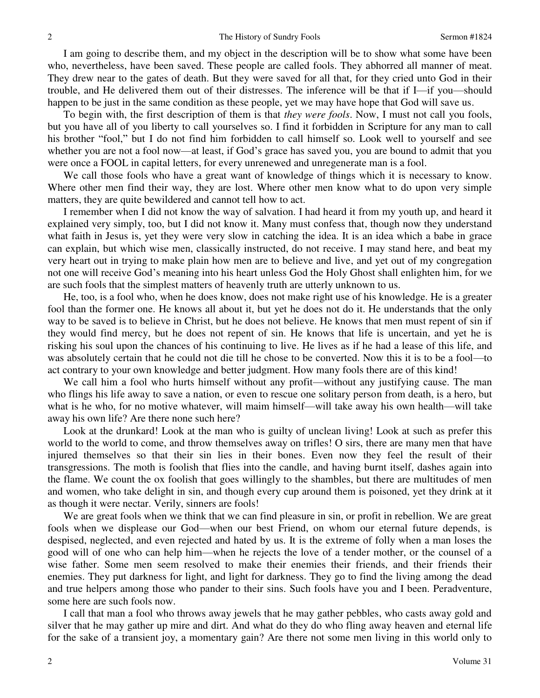I am going to describe them, and my object in the description will be to show what some have been who, nevertheless, have been saved. These people are called fools. They abhorred all manner of meat. They drew near to the gates of death. But they were saved for all that, for they cried unto God in their trouble, and He delivered them out of their distresses. The inference will be that if I—if you—should happen to be just in the same condition as these people, yet we may have hope that God will save us.

 To begin with, the first description of them is that *they were fools*. Now, I must not call you fools, but you have all of you liberty to call yourselves so. I find it forbidden in Scripture for any man to call his brother "fool," but I do not find him forbidden to call himself so. Look well to yourself and see whether you are not a fool now—at least, if God's grace has saved you, you are bound to admit that you were once a FOOL in capital letters, for every unrenewed and unregenerate man is a fool.

 We call those fools who have a great want of knowledge of things which it is necessary to know. Where other men find their way, they are lost. Where other men know what to do upon very simple matters, they are quite bewildered and cannot tell how to act.

 I remember when I did not know the way of salvation. I had heard it from my youth up, and heard it explained very simply, too, but I did not know it. Many must confess that, though now they understand what faith in Jesus is, yet they were very slow in catching the idea. It is an idea which a babe in grace can explain, but which wise men, classically instructed, do not receive. I may stand here, and beat my very heart out in trying to make plain how men are to believe and live, and yet out of my congregation not one will receive God's meaning into his heart unless God the Holy Ghost shall enlighten him, for we are such fools that the simplest matters of heavenly truth are utterly unknown to us.

 He, too, is a fool who, when he does know, does not make right use of his knowledge. He is a greater fool than the former one. He knows all about it, but yet he does not do it. He understands that the only way to be saved is to believe in Christ, but he does not believe. He knows that men must repent of sin if they would find mercy, but he does not repent of sin. He knows that life is uncertain, and yet he is risking his soul upon the chances of his continuing to live. He lives as if he had a lease of this life, and was absolutely certain that he could not die till he chose to be converted. Now this it is to be a fool—to act contrary to your own knowledge and better judgment. How many fools there are of this kind!

 We call him a fool who hurts himself without any profit—without any justifying cause. The man who flings his life away to save a nation, or even to rescue one solitary person from death, is a hero, but what is he who, for no motive whatever, will maim himself—will take away his own health—will take away his own life? Are there none such here?

 Look at the drunkard! Look at the man who is guilty of unclean living! Look at such as prefer this world to the world to come, and throw themselves away on trifles! O sirs, there are many men that have injured themselves so that their sin lies in their bones. Even now they feel the result of their transgressions. The moth is foolish that flies into the candle, and having burnt itself, dashes again into the flame. We count the ox foolish that goes willingly to the shambles, but there are multitudes of men and women, who take delight in sin, and though every cup around them is poisoned, yet they drink at it as though it were nectar. Verily, sinners are fools!

 We are great fools when we think that we can find pleasure in sin, or profit in rebellion. We are great fools when we displease our God—when our best Friend, on whom our eternal future depends, is despised, neglected, and even rejected and hated by us. It is the extreme of folly when a man loses the good will of one who can help him—when he rejects the love of a tender mother, or the counsel of a wise father. Some men seem resolved to make their enemies their friends, and their friends their enemies. They put darkness for light, and light for darkness. They go to find the living among the dead and true helpers among those who pander to their sins. Such fools have you and I been. Peradventure, some here are such fools now.

 I call that man a fool who throws away jewels that he may gather pebbles, who casts away gold and silver that he may gather up mire and dirt. And what do they do who fling away heaven and eternal life for the sake of a transient joy, a momentary gain? Are there not some men living in this world only to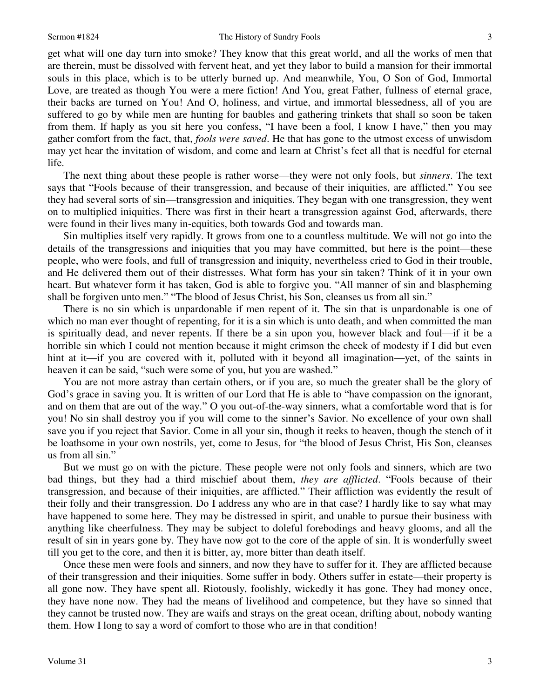get what will one day turn into smoke? They know that this great world, and all the works of men that are therein, must be dissolved with fervent heat, and yet they labor to build a mansion for their immortal souls in this place, which is to be utterly burned up. And meanwhile, You, O Son of God, Immortal Love, are treated as though You were a mere fiction! And You, great Father, fullness of eternal grace, their backs are turned on You! And O, holiness, and virtue, and immortal blessedness, all of you are suffered to go by while men are hunting for baubles and gathering trinkets that shall so soon be taken from them. If haply as you sit here you confess, "I have been a fool, I know I have," then you may gather comfort from the fact, that, *fools were saved*. He that has gone to the utmost excess of unwisdom may yet hear the invitation of wisdom, and come and learn at Christ's feet all that is needful for eternal life.

 The next thing about these people is rather worse—they were not only fools, but *sinners*. The text says that "Fools because of their transgression, and because of their iniquities, are afflicted." You see they had several sorts of sin—transgression and iniquities. They began with one transgression, they went on to multiplied iniquities. There was first in their heart a transgression against God, afterwards, there were found in their lives many in-equities, both towards God and towards man.

 Sin multiplies itself very rapidly. It grows from one to a countless multitude. We will not go into the details of the transgressions and iniquities that you may have committed, but here is the point—these people, who were fools, and full of transgression and iniquity, nevertheless cried to God in their trouble, and He delivered them out of their distresses. What form has your sin taken? Think of it in your own heart. But whatever form it has taken, God is able to forgive you. "All manner of sin and blaspheming shall be forgiven unto men." "The blood of Jesus Christ, his Son, cleanses us from all sin."

 There is no sin which is unpardonable if men repent of it. The sin that is unpardonable is one of which no man ever thought of repenting, for it is a sin which is unto death, and when committed the man is spiritually dead, and never repents. If there be a sin upon you, however black and foul—if it be a horrible sin which I could not mention because it might crimson the cheek of modesty if I did but even hint at it—if you are covered with it, polluted with it beyond all imagination—yet, of the saints in heaven it can be said, "such were some of you, but you are washed."

 You are not more astray than certain others, or if you are, so much the greater shall be the glory of God's grace in saving you. It is written of our Lord that He is able to "have compassion on the ignorant, and on them that are out of the way." O you out-of-the-way sinners, what a comfortable word that is for you! No sin shall destroy you if you will come to the sinner's Savior. No excellence of your own shall save you if you reject that Savior. Come in all your sin, though it reeks to heaven, though the stench of it be loathsome in your own nostrils, yet, come to Jesus, for "the blood of Jesus Christ, His Son, cleanses us from all sin."

 But we must go on with the picture. These people were not only fools and sinners, which are two bad things, but they had a third mischief about them, *they are afflicted*. "Fools because of their transgression, and because of their iniquities, are afflicted." Their affliction was evidently the result of their folly and their transgression. Do I address any who are in that case? I hardly like to say what may have happened to some here. They may be distressed in spirit, and unable to pursue their business with anything like cheerfulness. They may be subject to doleful forebodings and heavy glooms, and all the result of sin in years gone by. They have now got to the core of the apple of sin. It is wonderfully sweet till you get to the core, and then it is bitter, ay, more bitter than death itself.

 Once these men were fools and sinners, and now they have to suffer for it. They are afflicted because of their transgression and their iniquities. Some suffer in body. Others suffer in estate—their property is all gone now. They have spent all. Riotously, foolishly, wickedly it has gone. They had money once, they have none now. They had the means of livelihood and competence, but they have so sinned that they cannot be trusted now. They are waifs and strays on the great ocean, drifting about, nobody wanting them. How I long to say a word of comfort to those who are in that condition!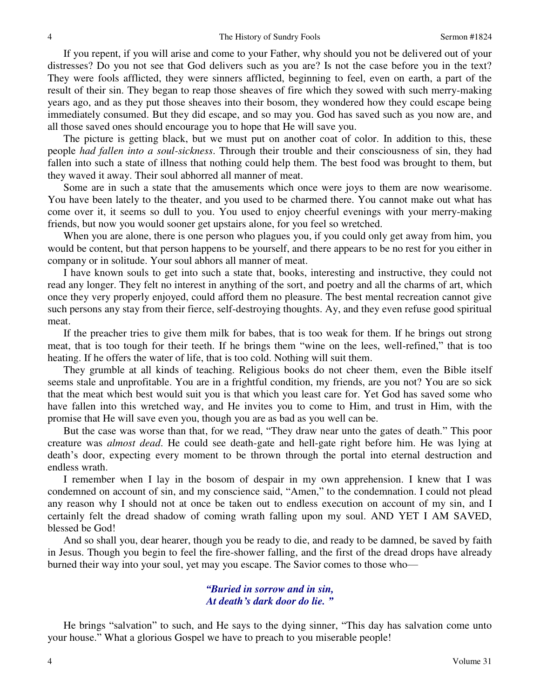If you repent, if you will arise and come to your Father, why should you not be delivered out of your distresses? Do you not see that God delivers such as you are? Is not the case before you in the text? They were fools afflicted, they were sinners afflicted, beginning to feel, even on earth, a part of the result of their sin. They began to reap those sheaves of fire which they sowed with such merry-making years ago, and as they put those sheaves into their bosom, they wondered how they could escape being immediately consumed. But they did escape, and so may you. God has saved such as you now are, and all those saved ones should encourage you to hope that He will save you.

 The picture is getting black, but we must put on another coat of color. In addition to this, these people *had fallen into a soul-sickness*. Through their trouble and their consciousness of sin, they had fallen into such a state of illness that nothing could help them. The best food was brought to them, but they waved it away. Their soul abhorred all manner of meat.

 Some are in such a state that the amusements which once were joys to them are now wearisome. You have been lately to the theater, and you used to be charmed there. You cannot make out what has come over it, it seems so dull to you. You used to enjoy cheerful evenings with your merry-making friends, but now you would sooner get upstairs alone, for you feel so wretched.

 When you are alone, there is one person who plagues you, if you could only get away from him, you would be content, but that person happens to be yourself, and there appears to be no rest for you either in company or in solitude. Your soul abhors all manner of meat.

 I have known souls to get into such a state that, books, interesting and instructive, they could not read any longer. They felt no interest in anything of the sort, and poetry and all the charms of art, which once they very properly enjoyed, could afford them no pleasure. The best mental recreation cannot give such persons any stay from their fierce, self-destroying thoughts. Ay, and they even refuse good spiritual meat.

 If the preacher tries to give them milk for babes, that is too weak for them. If he brings out strong meat, that is too tough for their teeth. If he brings them "wine on the lees, well-refined," that is too heating. If he offers the water of life, that is too cold. Nothing will suit them.

 They grumble at all kinds of teaching. Religious books do not cheer them, even the Bible itself seems stale and unprofitable. You are in a frightful condition, my friends, are you not? You are so sick that the meat which best would suit you is that which you least care for. Yet God has saved some who have fallen into this wretched way, and He invites you to come to Him, and trust in Him, with the promise that He will save even you, though you are as bad as you well can be.

 But the case was worse than that, for we read, "They draw near unto the gates of death." This poor creature was *almost dead*. He could see death-gate and hell-gate right before him. He was lying at death's door, expecting every moment to be thrown through the portal into eternal destruction and endless wrath.

 I remember when I lay in the bosom of despair in my own apprehension. I knew that I was condemned on account of sin, and my conscience said, "Amen," to the condemnation. I could not plead any reason why I should not at once be taken out to endless execution on account of my sin, and I certainly felt the dread shadow of coming wrath falling upon my soul. AND YET I AM SAVED, blessed be God!

 And so shall you, dear hearer, though you be ready to die, and ready to be damned, be saved by faith in Jesus. Though you begin to feel the fire-shower falling, and the first of the dread drops have already burned their way into your soul, yet may you escape. The Savior comes to those who—

#### *"Buried in sorrow and in sin, At death's dark door do lie. "*

 He brings "salvation" to such, and He says to the dying sinner, "This day has salvation come unto your house." What a glorious Gospel we have to preach to you miserable people!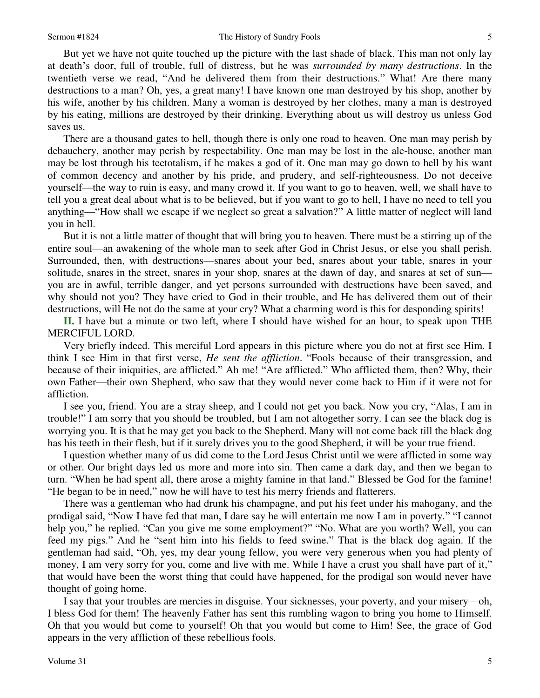But yet we have not quite touched up the picture with the last shade of black. This man not only lay at death's door, full of trouble, full of distress, but he was *surrounded by many destructions*. In the twentieth verse we read, "And he delivered them from their destructions." What! Are there many destructions to a man? Oh, yes, a great many! I have known one man destroyed by his shop, another by his wife, another by his children. Many a woman is destroyed by her clothes, many a man is destroyed by his eating, millions are destroyed by their drinking. Everything about us will destroy us unless God saves us.

 There are a thousand gates to hell, though there is only one road to heaven. One man may perish by debauchery, another may perish by respectability. One man may be lost in the ale-house, another man may be lost through his teetotalism, if he makes a god of it. One man may go down to hell by his want of common decency and another by his pride, and prudery, and self-righteousness. Do not deceive yourself—the way to ruin is easy, and many crowd it. If you want to go to heaven, well, we shall have to tell you a great deal about what is to be believed, but if you want to go to hell, I have no need to tell you anything—"How shall we escape if we neglect so great a salvation?" A little matter of neglect will land you in hell.

 But it is not a little matter of thought that will bring you to heaven. There must be a stirring up of the entire soul—an awakening of the whole man to seek after God in Christ Jesus, or else you shall perish. Surrounded, then, with destructions—snares about your bed, snares about your table, snares in your solitude, snares in the street, snares in your shop, snares at the dawn of day, and snares at set of sun you are in awful, terrible danger, and yet persons surrounded with destructions have been saved, and why should not you? They have cried to God in their trouble, and He has delivered them out of their destructions, will He not do the same at your cry? What a charming word is this for desponding spirits!

**II.** I have but a minute or two left, where I should have wished for an hour, to speak upon THE MERCIFUL LORD.

 Very briefly indeed. This merciful Lord appears in this picture where you do not at first see Him. I think I see Him in that first verse, *He sent the affliction*. "Fools because of their transgression, and because of their iniquities, are afflicted." Ah me! "Are afflicted." Who afflicted them, then? Why, their own Father—their own Shepherd, who saw that they would never come back to Him if it were not for affliction.

 I see you, friend. You are a stray sheep, and I could not get you back. Now you cry, "Alas, I am in trouble!" I am sorry that you should be troubled, but I am not altogether sorry. I can see the black dog is worrying you. It is that he may get you back to the Shepherd. Many will not come back till the black dog has his teeth in their flesh, but if it surely drives you to the good Shepherd, it will be your true friend.

 I question whether many of us did come to the Lord Jesus Christ until we were afflicted in some way or other. Our bright days led us more and more into sin. Then came a dark day, and then we began to turn. "When he had spent all, there arose a mighty famine in that land." Blessed be God for the famine! "He began to be in need," now he will have to test his merry friends and flatterers.

 There was a gentleman who had drunk his champagne, and put his feet under his mahogany, and the prodigal said, "Now I have fed that man, I dare say he will entertain me now I am in poverty." "I cannot help you," he replied. "Can you give me some employment?" "No. What are you worth? Well, you can feed my pigs." And he "sent him into his fields to feed swine." That is the black dog again. If the gentleman had said, "Oh, yes, my dear young fellow, you were very generous when you had plenty of money, I am very sorry for you, come and live with me. While I have a crust you shall have part of it," that would have been the worst thing that could have happened, for the prodigal son would never have thought of going home.

 I say that your troubles are mercies in disguise. Your sicknesses, your poverty, and your misery—oh, I bless God for them! The heavenly Father has sent this rumbling wagon to bring you home to Himself. Oh that you would but come to yourself! Oh that you would but come to Him! See, the grace of God appears in the very affliction of these rebellious fools.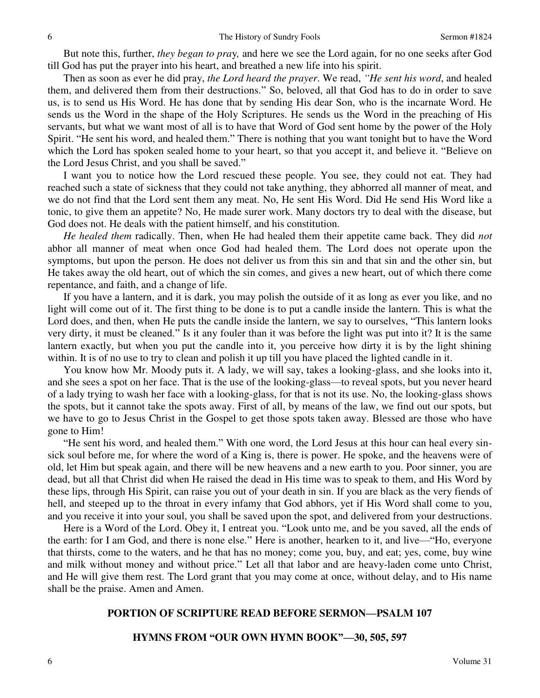But note this, further, *they began to pra*y*,* and here we see the Lord again, for no one seeks after God till God has put the prayer into his heart, and breathed a new life into his spirit.

 Then as soon as ever he did pray, *the Lord heard the prayer*. We read, *"He sent his word*, and healed them, and delivered them from their destructions." So, beloved, all that God has to do in order to save us, is to send us His Word. He has done that by sending His dear Son, who is the incarnate Word. He sends us the Word in the shape of the Holy Scriptures. He sends us the Word in the preaching of His servants, but what we want most of all is to have that Word of God sent home by the power of the Holy Spirit. "He sent his word, and healed them." There is nothing that you want tonight but to have the Word which the Lord has spoken sealed home to your heart, so that you accept it, and believe it. "Believe on the Lord Jesus Christ, and you shall be saved."

 I want you to notice how the Lord rescued these people. You see, they could not eat. They had reached such a state of sickness that they could not take anything, they abhorred all manner of meat, and we do not find that the Lord sent them any meat. No, He sent His Word. Did He send His Word like a tonic, to give them an appetite? No, He made surer work. Many doctors try to deal with the disease, but God does not. He deals with the patient himself, and his constitution.

 *He healed them* radically. Then, when He had healed them their appetite came back. They did *not*  abhor all manner of meat when once God had healed them. The Lord does not operate upon the symptoms, but upon the person. He does not deliver us from this sin and that sin and the other sin, but He takes away the old heart, out of which the sin comes, and gives a new heart, out of which there come repentance, and faith, and a change of life.

 If you have a lantern, and it is dark, you may polish the outside of it as long as ever you like, and no light will come out of it. The first thing to be done is to put a candle inside the lantern. This is what the Lord does, and then, when He puts the candle inside the lantern, we say to ourselves, "This lantern looks very dirty, it must be cleaned." Is it any fouler than it was before the light was put into it? It is the same lantern exactly, but when you put the candle into it, you perceive how dirty it is by the light shining within. It is of no use to try to clean and polish it up till you have placed the lighted candle in it.

 You know how Mr. Moody puts it. A lady, we will say, takes a looking-glass, and she looks into it, and she sees a spot on her face. That is the use of the looking-glass—to reveal spots, but you never heard of a lady trying to wash her face with a looking-glass, for that is not its use. No, the looking-glass shows the spots, but it cannot take the spots away. First of all, by means of the law, we find out our spots, but we have to go to Jesus Christ in the Gospel to get those spots taken away. Blessed are those who have gone to Him!

"He sent his word, and healed them." With one word, the Lord Jesus at this hour can heal every sinsick soul before me, for where the word of a King is, there is power. He spoke, and the heavens were of old, let Him but speak again, and there will be new heavens and a new earth to you. Poor sinner, you are dead, but all that Christ did when He raised the dead in His time was to speak to them, and His Word by these lips, through His Spirit, can raise you out of your death in sin. If you are black as the very fiends of hell, and steeped up to the throat in every infamy that God abhors, yet if His Word shall come to you, and you receive it into your soul, you shall be saved upon the spot, and delivered from your destructions.

 Here is a Word of the Lord. Obey it, I entreat you. "Look unto me, and be you saved, all the ends of the earth: for I am God, and there is none else." Here is another, hearken to it, and live—"Ho, everyone that thirsts, come to the waters, and he that has no money; come you, buy, and eat; yes, come, buy wine and milk without money and without price." Let all that labor and are heavy-laden come unto Christ, and He will give them rest. The Lord grant that you may come at once, without delay, and to His name shall be the praise. Amen and Amen.

#### **PORTION OF SCRIPTURE READ BEFORE SERMON—PSALM 107**

#### **HYMNS FROM "OUR OWN HYMN BOOK"—30, 505, 597**